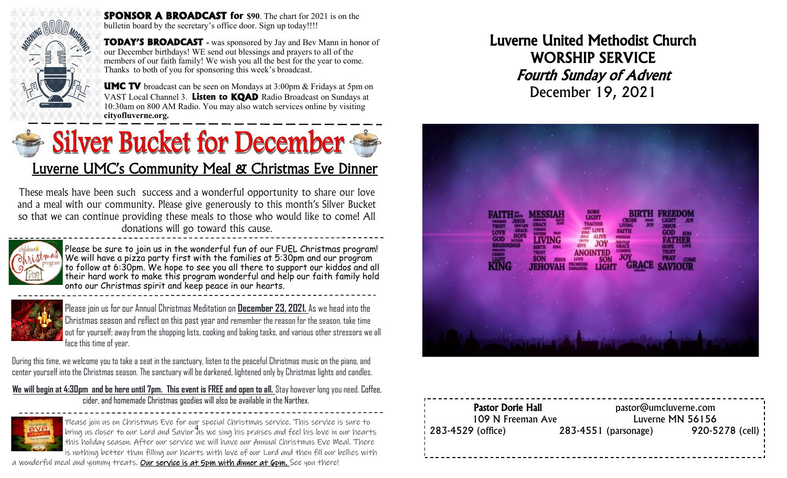

**SPONSOR A BROADCAST for \$90**. The chart for 2021 is on the bulletin board by the secretary's office door. Sign up today!!!!

**TODAY'S BROADCAST -** was sponsored by Jay and Bev Mann in honor of our December birthdays! WE send out blessings and prayers to all of the members of our faith family! We wish you all the best for the year to come. Thanks to both of you for sponsoring this week's broadcast.

**UMC TV** broadcast can be seen on Mondays at 3:00pm & Fridays at 5pm on VAST Local Channel 3. **Listen to KQAD** Radio Broadcast on Sundays at 10:30am on 800 AM Radio. You may also watch services online by visiting **cityofluverne.org.**

# Silver Bucket for December Luverne UMC's Community Meal & Christmas Eve Dinner

These meals have been such success and a wonderful opportunity to share our love and a meal with our community. Please give generously to this month's Silver Bucket so that we can continue providing these meals to those who would like to come! All donations will go toward this cause.



Please be sure to join us in the wonderful fun of our FUEL Christmas program! We will have a pizza party first with the families at 5:30pm and our program to follow at 6:30pm. We hope to see you all there to support our kiddos and all their hard work to make this program wonderful and help our faith family hold onto our Christmas spirit and keep peace in our hearts.



Please join us for our Annual Christmas Meditation on **December 23, 2021.** As we head into the Christmas season and reflect on this past year and remember the reason for the season, take time out for yourself; away from the shopping lists, cooking and baking tasks, and various other stressors we all face this time of year.

During this time, we welcome you to take a seat in the sanctuary, listen to the peaceful Christmas music on the piano, and center yourself into the Christmas season. The sanctuary will be darkened, lightened only by Christmas lights and candles.

**We will begin at 4:30pm and be here until 7pm. This event is FREE and open to all.** Stay however long you need. Coffee, cider, and homemade Christmas goodies will also be available in the Narthex.



4 bring us closer to our Lord and Savior as we sing his praises and feel his love in our hearts Please join us on Christmas Eve for our special Christmas service. This service is sure to this holiday season. After our service we will have our Annual Christmas Eve Meal. There is nothing better than filling our hearts with love of our Lord and then fill our bellies with

a wonderful meal and yummy treats. Our service is at 5pm with dinner at 6pm. See you there!

Luverne United Methodist Church WORSHIP SERVICE Fourth Sunday of Advent December 19, 2021



| <b>Pastor Dorie Hall</b><br>109 N Freeman Ave | pastor@umcluverne.com<br>Luverne MN 56156 |                          |                   |
|-----------------------------------------------|-------------------------------------------|--------------------------|-------------------|
| 283-4529 (office)                             |                                           | $283 - 4551$ (parsonage) | 920-5278 (cell) ! |
|                                               |                                           |                          |                   |